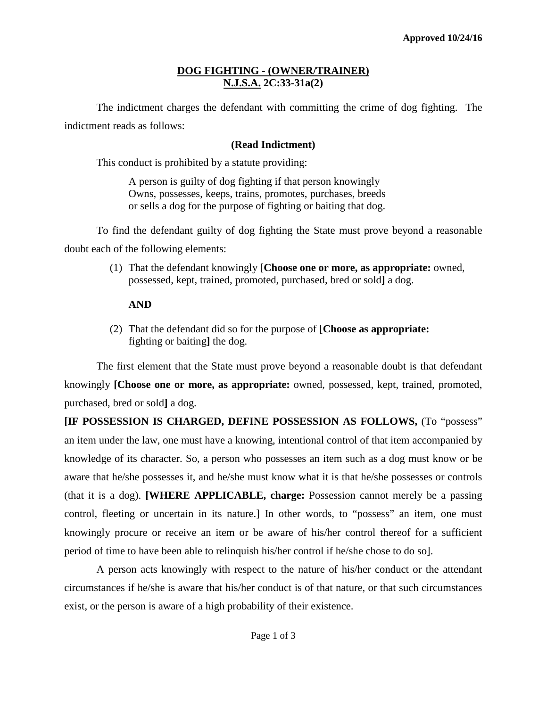## **DOG FIGHTING - (OWNER/TRAINER) N.J.S.A. 2C:33-31a(2)**

The indictment charges the defendant with committing the crime of dog fighting. The indictment reads as follows:

# **(Read Indictment)**

This conduct is prohibited by a statute providing:

A person is guilty of dog fighting if that person knowingly Owns, possesses, keeps, trains, promotes, purchases, breeds or sells a dog for the purpose of fighting or baiting that dog.

To find the defendant guilty of dog fighting the State must prove beyond a reasonable doubt each of the following elements:

> (1) That the defendant knowingly [**Choose one or more, as appropriate:** owned, possessed, kept, trained, promoted, purchased, bred or sold**]** a dog.

# **AND**

(2) That the defendant did so for the purpose of [**Choose as appropriate:**  fighting or baiting**]** the dog.

The first element that the State must prove beyond a reasonable doubt is that defendant knowingly **[Choose one or more, as appropriate:** owned, possessed, kept, trained, promoted, purchased, bred or sold**]** a dog.

**[IF POSSESSION IS CHARGED, DEFINE POSSESSION AS FOLLOWS,** (To "possess" an item under the law, one must have a knowing, intentional control of that item accompanied by knowledge of its character. So, a person who possesses an item such as a dog must know or be aware that he/she possesses it, and he/she must know what it is that he/she possesses or controls (that it is a dog). **[WHERE APPLICABLE, charge:** Possession cannot merely be a passing control, fleeting or uncertain in its nature.] In other words, to "possess" an item, one must knowingly procure or receive an item or be aware of his/her control thereof for a sufficient period of time to have been able to relinquish his/her control if he/she chose to do so].

A person acts knowingly with respect to the nature of his/her conduct or the attendant circumstances if he/she is aware that his/her conduct is of that nature, or that such circumstances exist, or the person is aware of a high probability of their existence.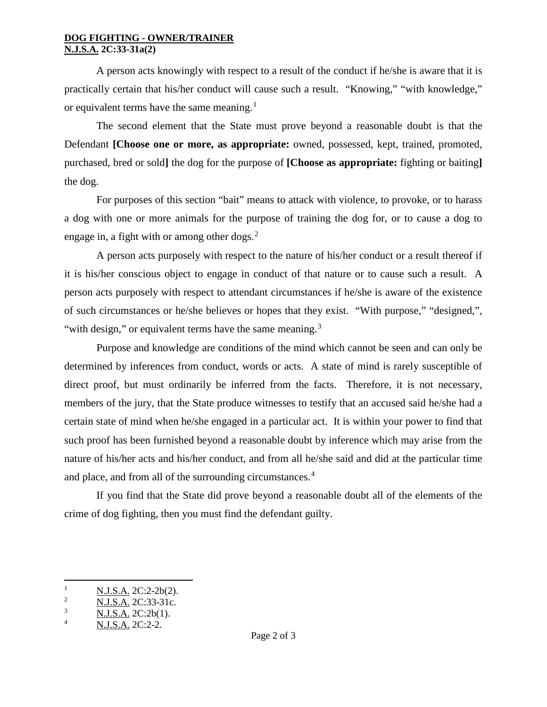#### **DOG FIGHTING - OWNER/TRAINER N.J.S.A. 2C:33-31a(2)**

A person acts knowingly with respect to a result of the conduct if he/she is aware that it is practically certain that his/her conduct will cause such a result. "Knowing," "with knowledge," or equivalent terms have the same meaning.<sup>[1](#page-1-0)</sup>

The second element that the State must prove beyond a reasonable doubt is that the Defendant **[Choose one or more, as appropriate:** owned, possessed, kept, trained, promoted, purchased, bred or sold**]** the dog for the purpose of **[Choose as appropriate:** fighting or baiting**]** the dog.

For purposes of this section "bait" means to attack with violence, to provoke, or to harass a dog with one or more animals for the purpose of training the dog for, or to cause a dog to engage in, a fight with or among other dogs. $<sup>2</sup>$  $<sup>2</sup>$  $<sup>2</sup>$ </sup>

A person acts purposely with respect to the nature of his/her conduct or a result thereof if it is his/her conscious object to engage in conduct of that nature or to cause such a result. A person acts purposely with respect to attendant circumstances if he/she is aware of the existence of such circumstances or he/she believes or hopes that they exist. "With purpose," "designed,", "with design," or equivalent terms have the same meaning.<sup>[3](#page-1-2)</sup>

Purpose and knowledge are conditions of the mind which cannot be seen and can only be determined by inferences from conduct, words or acts. A state of mind is rarely susceptible of direct proof, but must ordinarily be inferred from the facts. Therefore, it is not necessary, members of the jury, that the State produce witnesses to testify that an accused said he/she had a certain state of mind when he/she engaged in a particular act. It is within your power to find that such proof has been furnished beyond a reasonable doubt by inference which may arise from the nature of his/her acts and his/her conduct, and from all he/she said and did at the particular time and place, and from all of the surrounding circumstances.<sup>[4](#page-1-3)</sup>

If you find that the State did prove beyond a reasonable doubt all of the elements of the crime of dog fighting, then you must find the defendant guilty.

 $\overline{\phantom{a}}$ 

<span id="page-1-0"></span> $\frac{N.J.S.A.}{N IS A}$  2C:2-2b(2).

<span id="page-1-1"></span> $\frac{2}{3}$  N.J.S.A. 2C:33-31c.

<span id="page-1-2"></span> $\frac{3}{4}$  N.J.S.A. 2C:2b(1).

<span id="page-1-3"></span>N.J.S.A. 2C:2-2.